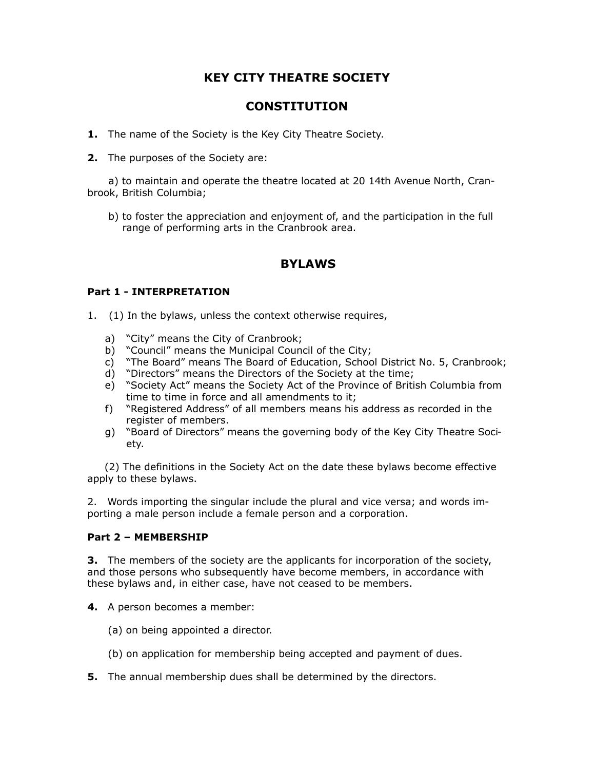# **KEY CITY THEATRE SOCIETY**

## **CONSTITUTION**

- **1.** The name of the Society is the Key City Theatre Society.
- **2.** The purposes of the Society are:

 a) to maintain and operate the theatre located at 20 14th Avenue North, Cranbrook, British Columbia;

 b) to foster the appreciation and enjoyment of, and the participation in the full range of performing arts in the Cranbrook area.

## **BYLAWS**

## **Part 1 - INTERPRETATION**

- 1. (1) In the bylaws, unless the context otherwise requires,
	- a) "City" means the City of Cranbrook;
	- b) "Council" means the Municipal Council of the City;
	- c) "The Board" means The Board of Education, School District No. 5, Cranbrook;
	- d) "Directors" means the Directors of the Society at the time;
	- e) "Society Act" means the Society Act of the Province of British Columbia from time to time in force and all amendments to it;
	- f) "Registered Address" of all members means his address as recorded in the register of members.
	- g) "Board of Directors" means the governing body of the Key City Theatre Society.

 (2) The definitions in the Society Act on the date these bylaws become effective apply to these bylaws.

2. Words importing the singular include the plural and vice versa; and words importing a male person include a female person and a corporation.

#### **Part 2 – MEMBERSHIP**

**3.** The members of the society are the applicants for incorporation of the society, and those persons who subsequently have become members, in accordance with these bylaws and, in either case, have not ceased to be members.

- **4.** A person becomes a member:
	- (a) on being appointed a director.
	- (b) on application for membership being accepted and payment of dues.
- **5.** The annual membership dues shall be determined by the directors.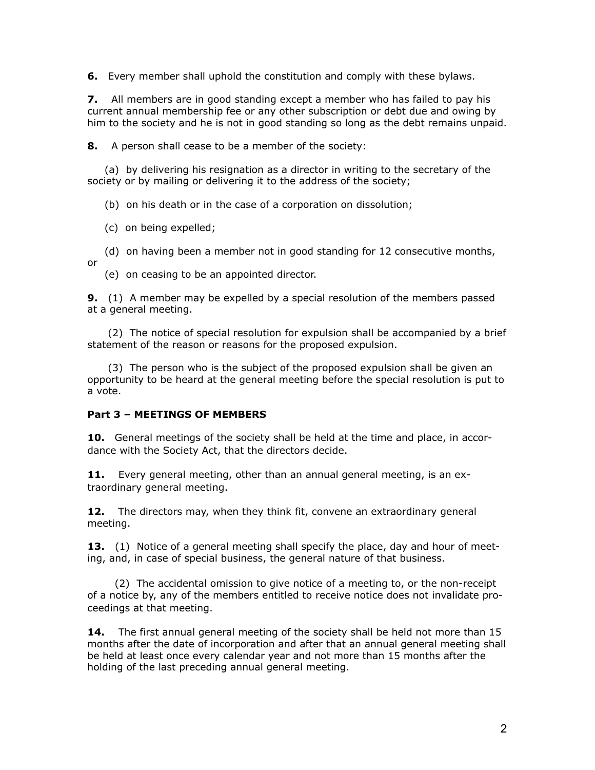**6.** Every member shall uphold the constitution and comply with these bylaws.

**7.** All members are in good standing except a member who has failed to pay his current annual membership fee or any other subscription or debt due and owing by him to the society and he is not in good standing so long as the debt remains unpaid.

**8.** A person shall cease to be a member of the society:

 (a) by delivering his resignation as a director in writing to the secretary of the society or by mailing or delivering it to the address of the society;

(b) on his death or in the case of a corporation on dissolution;

(c) on being expelled;

 (d) on having been a member not in good standing for 12 consecutive months, or

(e) on ceasing to be an appointed director.

**9.** (1) A member may be expelled by a special resolution of the members passed at a general meeting.

 (2) The notice of special resolution for expulsion shall be accompanied by a brief statement of the reason or reasons for the proposed expulsion.

 (3) The person who is the subject of the proposed expulsion shall be given an opportunity to be heard at the general meeting before the special resolution is put to a vote.

#### **Part 3 – MEETINGS OF MEMBERS**

**10.** General meetings of the society shall be held at the time and place, in accordance with the Society Act, that the directors decide.

**11.** Every general meeting, other than an annual general meeting, is an extraordinary general meeting.

**12.** The directors may, when they think fit, convene an extraordinary general meeting.

**13.** (1) Notice of a general meeting shall specify the place, day and hour of meeting, and, in case of special business, the general nature of that business.

 (2) The accidental omission to give notice of a meeting to, or the non-receipt of a notice by, any of the members entitled to receive notice does not invalidate proceedings at that meeting.

**14.** The first annual general meeting of the society shall be held not more than 15 months after the date of incorporation and after that an annual general meeting shall be held at least once every calendar year and not more than 15 months after the holding of the last preceding annual general meeting.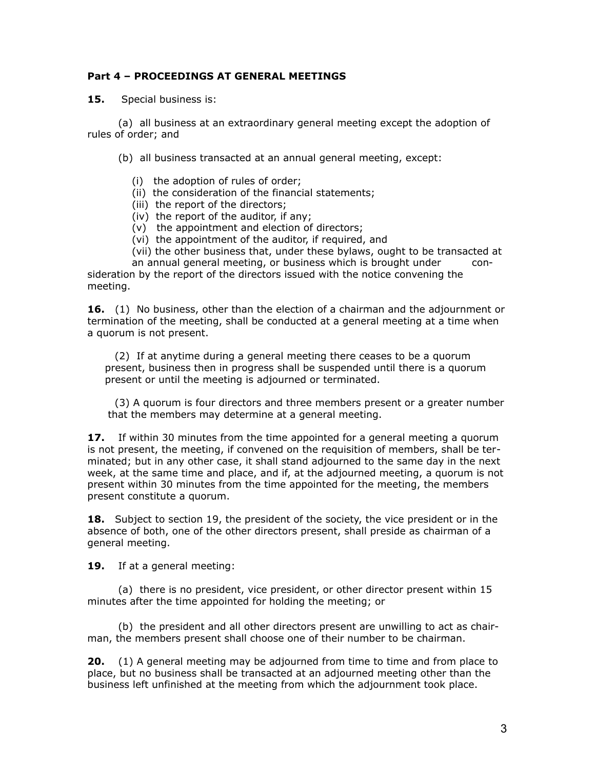## **Part 4 – PROCEEDINGS AT GENERAL MEETINGS**

**15.** Special business is:

 (a) all business at an extraordinary general meeting except the adoption of rules of order; and

(b) all business transacted at an annual general meeting, except:

- (i) the adoption of rules of order;
- (ii) the consideration of the financial statements;
- (iii) the report of the directors;
- (iv) the report of the auditor, if any;
- (v) the appointment and election of directors;
- (vi) the appointment of the auditor, if required, and
- (vii) the other business that, under these bylaws, ought to be transacted at

an annual general meeting, or business which is brought under consideration by the report of the directors issued with the notice convening the meeting.

**16.** (1) No business, other than the election of a chairman and the adjournment or termination of the meeting, shall be conducted at a general meeting at a time when a quorum is not present.

 (2) If at anytime during a general meeting there ceases to be a quorum present, business then in progress shall be suspended until there is a quorum present or until the meeting is adjourned or terminated.

 (3) A quorum is four directors and three members present or a greater number that the members may determine at a general meeting.

**17.** If within 30 minutes from the time appointed for a general meeting a quorum is not present, the meeting, if convened on the requisition of members, shall be terminated; but in any other case, it shall stand adjourned to the same day in the next week, at the same time and place, and if, at the adjourned meeting, a quorum is not present within 30 minutes from the time appointed for the meeting, the members present constitute a quorum.

**18.** Subject to section 19, the president of the society, the vice president or in the absence of both, one of the other directors present, shall preside as chairman of a general meeting.

**19.** If at a general meeting:

 (a) there is no president, vice president, or other director present within 15 minutes after the time appointed for holding the meeting; or

 (b) the president and all other directors present are unwilling to act as chairman, the members present shall choose one of their number to be chairman.

**20.** (1) A general meeting may be adjourned from time to time and from place to place, but no business shall be transacted at an adjourned meeting other than the business left unfinished at the meeting from which the adjournment took place.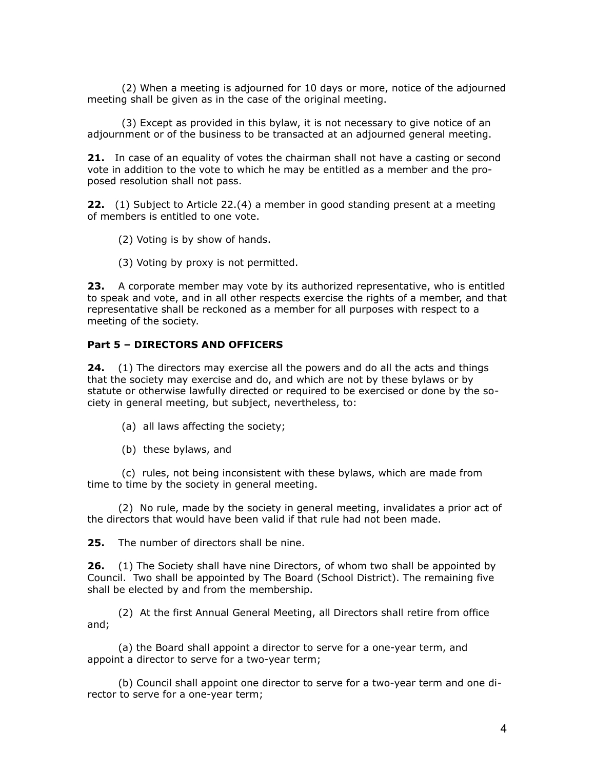(2) When a meeting is adjourned for 10 days or more, notice of the adjourned meeting shall be given as in the case of the original meeting.

 (3) Except as provided in this bylaw, it is not necessary to give notice of an adjournment or of the business to be transacted at an adjourned general meeting.

**21.** In case of an equality of votes the chairman shall not have a casting or second vote in addition to the vote to which he may be entitled as a member and the proposed resolution shall not pass.

**22.** (1) Subject to Article 22.(4) a member in good standing present at a meeting of members is entitled to one vote.

(2) Voting is by show of hands.

(3) Voting by proxy is not permitted.

**23.** A corporate member may vote by its authorized representative, who is entitled to speak and vote, and in all other respects exercise the rights of a member, and that representative shall be reckoned as a member for all purposes with respect to a meeting of the society.

#### **Part 5 – DIRECTORS AND OFFICERS**

**24.** (1) The directors may exercise all the powers and do all the acts and things that the society may exercise and do, and which are not by these bylaws or by statute or otherwise lawfully directed or required to be exercised or done by the society in general meeting, but subject, nevertheless, to:

(a) all laws affecting the society;

(b) these bylaws, and

 (c) rules, not being inconsistent with these bylaws, which are made from time to time by the society in general meeting.

 (2) No rule, made by the society in general meeting, invalidates a prior act of the directors that would have been valid if that rule had not been made.

**25.** The number of directors shall be nine.

**26.** (1) The Society shall have nine Directors, of whom two shall be appointed by Council. Two shall be appointed by The Board (School District). The remaining five shall be elected by and from the membership.

 (2) At the first Annual General Meeting, all Directors shall retire from office and;

 (a) the Board shall appoint a director to serve for a one-year term, and appoint a director to serve for a two-year term;

 (b) Council shall appoint one director to serve for a two-year term and one director to serve for a one-year term;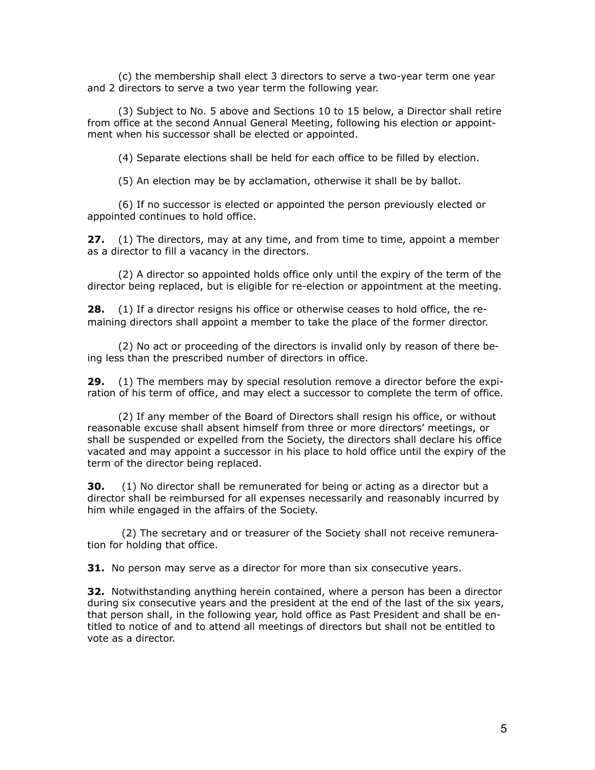(c) the membership shall elect 3 directors to serve a two-year term one year and 2 directors to serve a two year term the following year.

 (3) Subject to No. 5 above and Sections 10 to 15 below, a Director shall retire from office at the second Annual General Meeting, following his election or appointment when his successor shall be elected or appointed.

(4) Separate elections shall be held for each office to be filled by election.

(5) An election may be by acclamation, otherwise it shall be by ballot.

 (6) If no successor is elected or appointed the person previously elected or appointed continues to hold office.

**27.** (1) The directors, may at any time, and from time to time, appoint a member as a director to fill a vacancy in the directors.

 (2) A director so appointed holds office only until the expiry of the term of the director being replaced, but is eligible for re-election or appointment at the meeting.

**28.** (1) If a director resigns his office or otherwise ceases to hold office, the remaining directors shall appoint a member to take the place of the former director.

 (2) No act or proceeding of the directors is invalid only by reason of there being less than the prescribed number of directors in office.

**29.** (1) The members may by special resolution remove a director before the expiration of his term of office, and may elect a successor to complete the term of office.

 (2) If any member of the Board of Directors shall resign his office, or without reasonable excuse shall absent himself from three or more directors' meetings, or shall be suspended or expelled from the Society, the directors shall declare his office vacated and may appoint a successor in his place to hold office until the expiry of the term of the director being replaced.

**30.** (1) No director shall be remunerated for being or acting as a director but a director shall be reimbursed for all expenses necessarily and reasonably incurred by him while engaged in the affairs of the Society.

 (2) The secretary and or treasurer of the Society shall not receive remuneration for holding that office.

**31.** No person may serve as a director for more than six consecutive years.

**32.** Notwithstanding anything herein contained, where a person has been a director during six consecutive years and the president at the end of the last of the six years, that person shall, in the following year, hold office as Past President and shall be entitled to notice of and to attend all meetings of directors but shall not be entitled to vote as a director.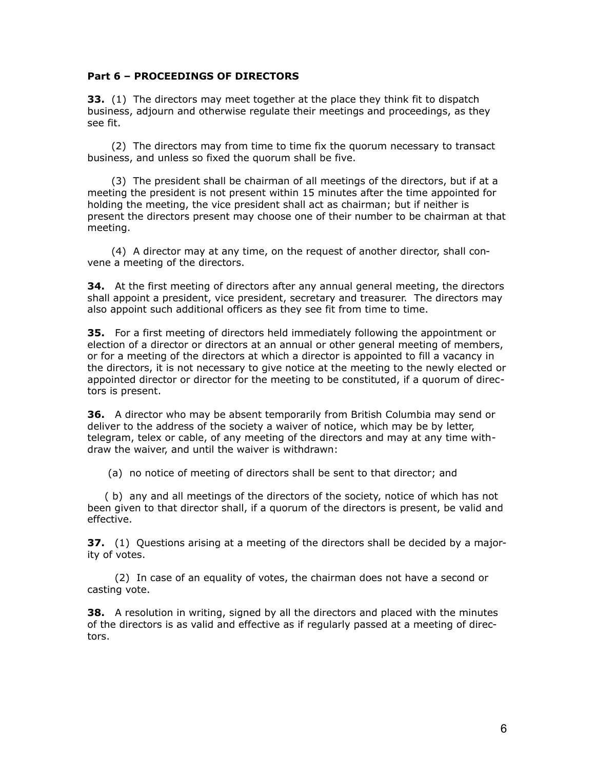#### **Part 6 – PROCEEDINGS OF DIRECTORS**

**33.** (1) The directors may meet together at the place they think fit to dispatch business, adjourn and otherwise regulate their meetings and proceedings, as they see fit.

 (2) The directors may from time to time fix the quorum necessary to transact business, and unless so fixed the quorum shall be five.

 (3) The president shall be chairman of all meetings of the directors, but if at a meeting the president is not present within 15 minutes after the time appointed for holding the meeting, the vice president shall act as chairman; but if neither is present the directors present may choose one of their number to be chairman at that meeting.

 (4) A director may at any time, on the request of another director, shall convene a meeting of the directors.

**34.** At the first meeting of directors after any annual general meeting, the directors shall appoint a president, vice president, secretary and treasurer. The directors may also appoint such additional officers as they see fit from time to time.

**35.** For a first meeting of directors held immediately following the appointment or election of a director or directors at an annual or other general meeting of members, or for a meeting of the directors at which a director is appointed to fill a vacancy in the directors, it is not necessary to give notice at the meeting to the newly elected or appointed director or director for the meeting to be constituted, if a quorum of directors is present.

**36.** A director who may be absent temporarily from British Columbia may send or deliver to the address of the society a waiver of notice, which may be by letter, telegram, telex or cable, of any meeting of the directors and may at any time withdraw the waiver, and until the waiver is withdrawn:

(a) no notice of meeting of directors shall be sent to that director; and

 ( b) any and all meetings of the directors of the society, notice of which has not been given to that director shall, if a quorum of the directors is present, be valid and effective.

**37.** (1) Questions arising at a meeting of the directors shall be decided by a majority of votes.

 (2) In case of an equality of votes, the chairman does not have a second or casting vote.

**38.** A resolution in writing, signed by all the directors and placed with the minutes of the directors is as valid and effective as if regularly passed at a meeting of directors.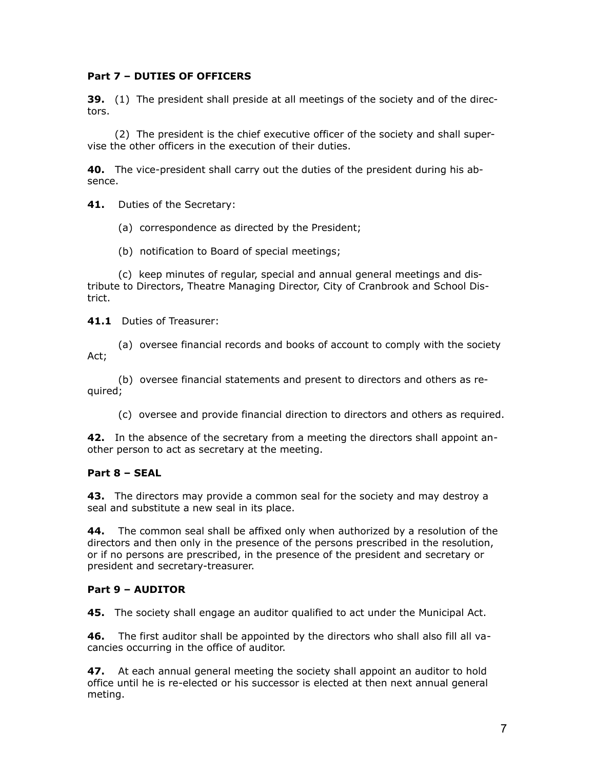## **Part 7 – DUTIES OF OFFICERS**

**39.** (1) The president shall preside at all meetings of the society and of the directors.

 (2) The president is the chief executive officer of the society and shall supervise the other officers in the execution of their duties.

**40.** The vice-president shall carry out the duties of the president during his absence.

**41.** Duties of the Secretary:

(a) correspondence as directed by the President;

(b) notification to Board of special meetings;

 (c) keep minutes of regular, special and annual general meetings and distribute to Directors, Theatre Managing Director, City of Cranbrook and School District.

**41.1** Duties of Treasurer:

 (a) oversee financial records and books of account to comply with the society Act;

 (b) oversee financial statements and present to directors and others as required;

(c) oversee and provide financial direction to directors and others as required.

**42.** In the absence of the secretary from a meeting the directors shall appoint another person to act as secretary at the meeting.

## **Part 8 – SEAL**

**43.** The directors may provide a common seal for the society and may destroy a seal and substitute a new seal in its place.

**44.** The common seal shall be affixed only when authorized by a resolution of the directors and then only in the presence of the persons prescribed in the resolution, or if no persons are prescribed, in the presence of the president and secretary or president and secretary-treasurer.

## **Part 9 – AUDITOR**

**45.** The society shall engage an auditor qualified to act under the Municipal Act.

**46.** The first auditor shall be appointed by the directors who shall also fill all vacancies occurring in the office of auditor.

**47.** At each annual general meeting the society shall appoint an auditor to hold office until he is re-elected or his successor is elected at then next annual general meting.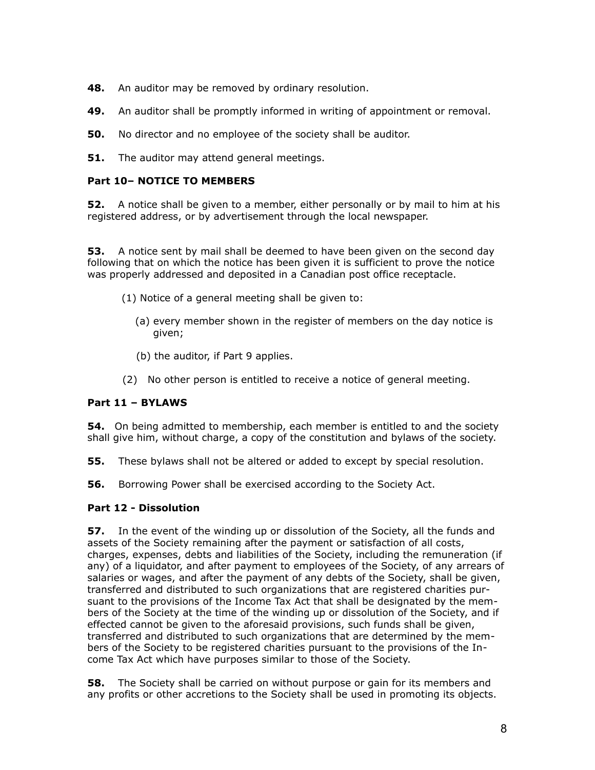**48.** An auditor may be removed by ordinary resolution.

- **49.** An auditor shall be promptly informed in writing of appointment or removal.
- **50.** No director and no employee of the society shall be auditor.

**51.** The auditor may attend general meetings.

## **Part 10– NOTICE TO MEMBERS**

**52.** A notice shall be given to a member, either personally or by mail to him at his registered address, or by advertisement through the local newspaper.

**53.** A notice sent by mail shall be deemed to have been given on the second day following that on which the notice has been given it is sufficient to prove the notice was properly addressed and deposited in a Canadian post office receptacle.

- (1) Notice of a general meeting shall be given to:
	- (a) every member shown in the register of members on the day notice is given;
	- (b) the auditor, if Part 9 applies.
- (2) No other person is entitled to receive a notice of general meeting.

## **Part 11 – BYLAWS**

**54.** On being admitted to membership, each member is entitled to and the society shall give him, without charge, a copy of the constitution and bylaws of the society.

- **55.** These bylaws shall not be altered or added to except by special resolution.
- **56.** Borrowing Power shall be exercised according to the Society Act.

## **Part 12 - Dissolution**

**57.** In the event of the winding up or dissolution of the Society, all the funds and assets of the Society remaining after the payment or satisfaction of all costs, charges, expenses, debts and liabilities of the Society, including the remuneration (if any) of a liquidator, and after payment to employees of the Society, of any arrears of salaries or wages, and after the payment of any debts of the Society, shall be given, transferred and distributed to such organizations that are registered charities pursuant to the provisions of the Income Tax Act that shall be designated by the members of the Society at the time of the winding up or dissolution of the Society, and if effected cannot be given to the aforesaid provisions, such funds shall be given, transferred and distributed to such organizations that are determined by the members of the Society to be registered charities pursuant to the provisions of the Income Tax Act which have purposes similar to those of the Society.

**58.** The Society shall be carried on without purpose or gain for its members and any profits or other accretions to the Society shall be used in promoting its objects.